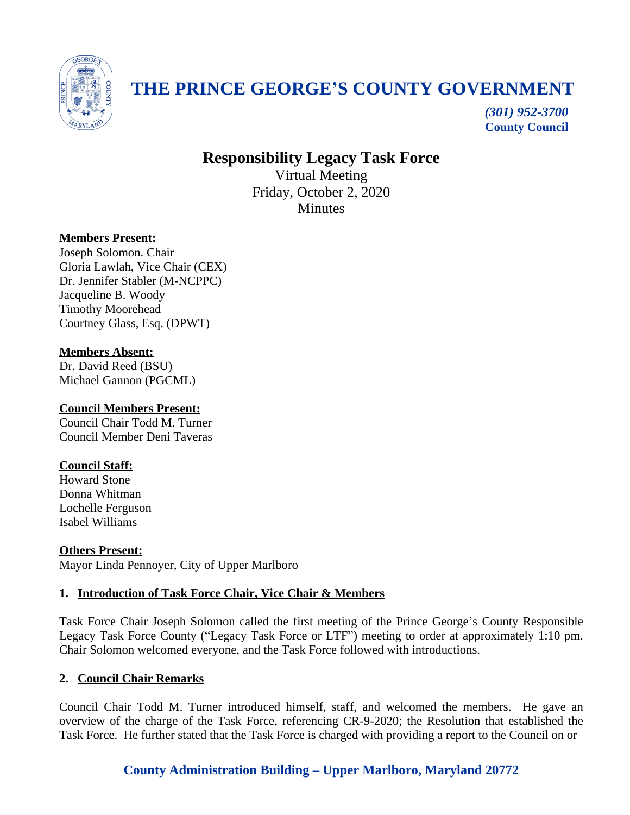

# **THE PRINCE GEORGE'S COUNTY GOVERNMENT**

*(301) 952-3700* **County Council**

# **Responsibility Legacy Task Force**

Virtual Meeting Friday, October 2, 2020 **Minutes** 

### **Members Present:**

Joseph Solomon. Chair Gloria Lawlah, Vice Chair (CEX) Dr. Jennifer Stabler (M-NCPPC) Jacqueline B. Woody Timothy Moorehead Courtney Glass, Esq. (DPWT)

### **Members Absent:**

Dr. David Reed (BSU) Michael Gannon (PGCML)

### **Council Members Present:**

Council Chair Todd M. Turner Council Member Deni Taveras

### **Council Staff:**

Howard Stone Donna Whitman Lochelle Ferguson Isabel Williams

#### **Others Present:** Mayor Linda Pennoyer, City of Upper Marlboro

# **1. Introduction of Task Force Chair, Vice Chair & Members**

Task Force Chair Joseph Solomon called the first meeting of the Prince George's County Responsible Legacy Task Force County ("Legacy Task Force or LTF") meeting to order at approximately 1:10 pm. Chair Solomon welcomed everyone, and the Task Force followed with introductions.

### **2. Council Chair Remarks**

Council Chair Todd M. Turner introduced himself, staff, and welcomed the members. He gave an overview of the charge of the Task Force, referencing CR-9-2020; the Resolution that established the Task Force. He further stated that the Task Force is charged with providing a report to the Council on or

## **County Administration Building – Upper Marlboro, Maryland 20772**